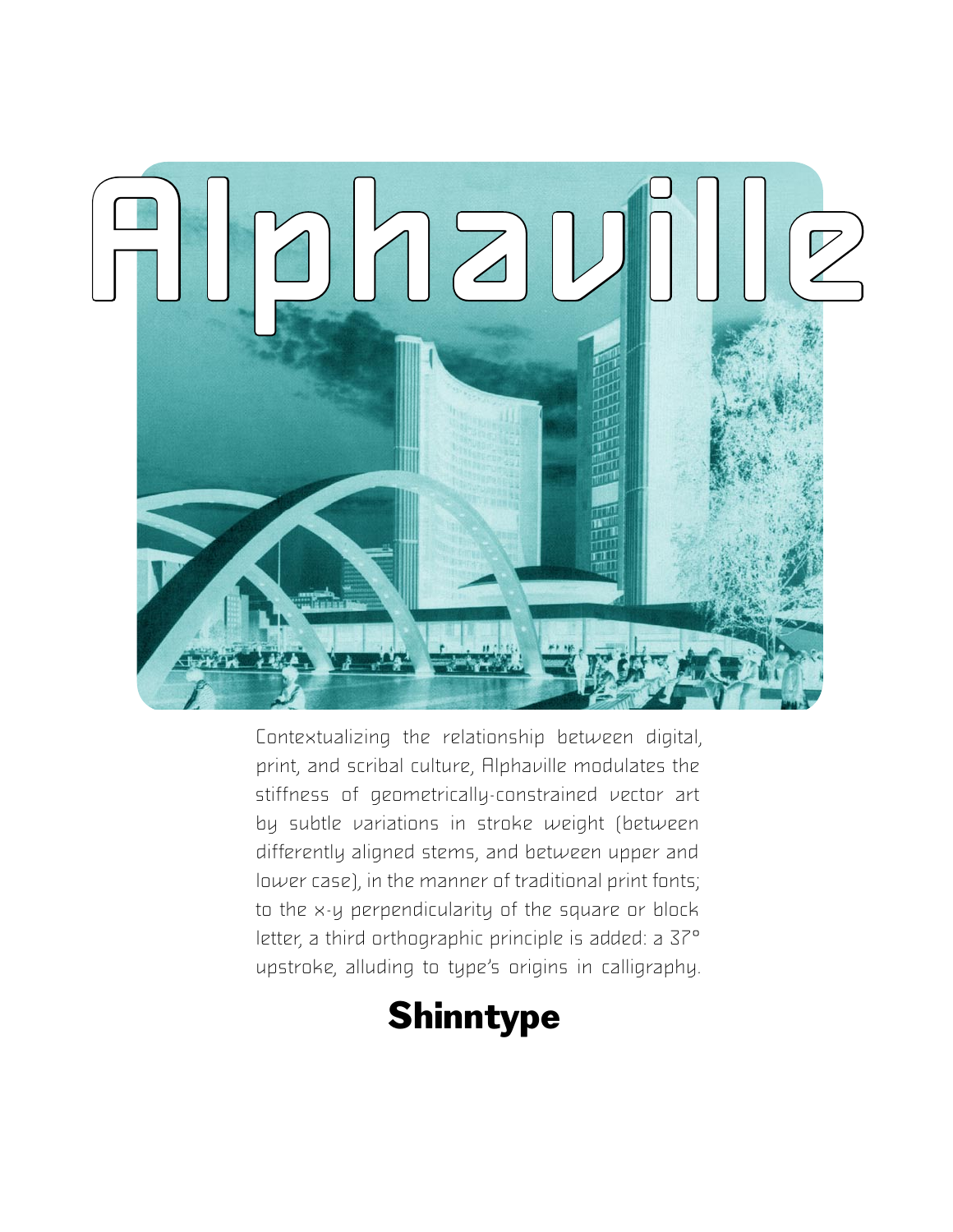

Contextualizing the relationship between digital, print, and scribal culture, Alphaville modulates the stiffness of geometrically-constrained vector art by subtle variations in stroke weight (between differently aligned stems, and between upper and lower case), in the manner of traditional print fonts; to the x-y perpendicularity of the square or block letter, a third orthographic principle is added: a 37°. upstroke, alluding to type's origins in calligraphy.

## **Shinntype**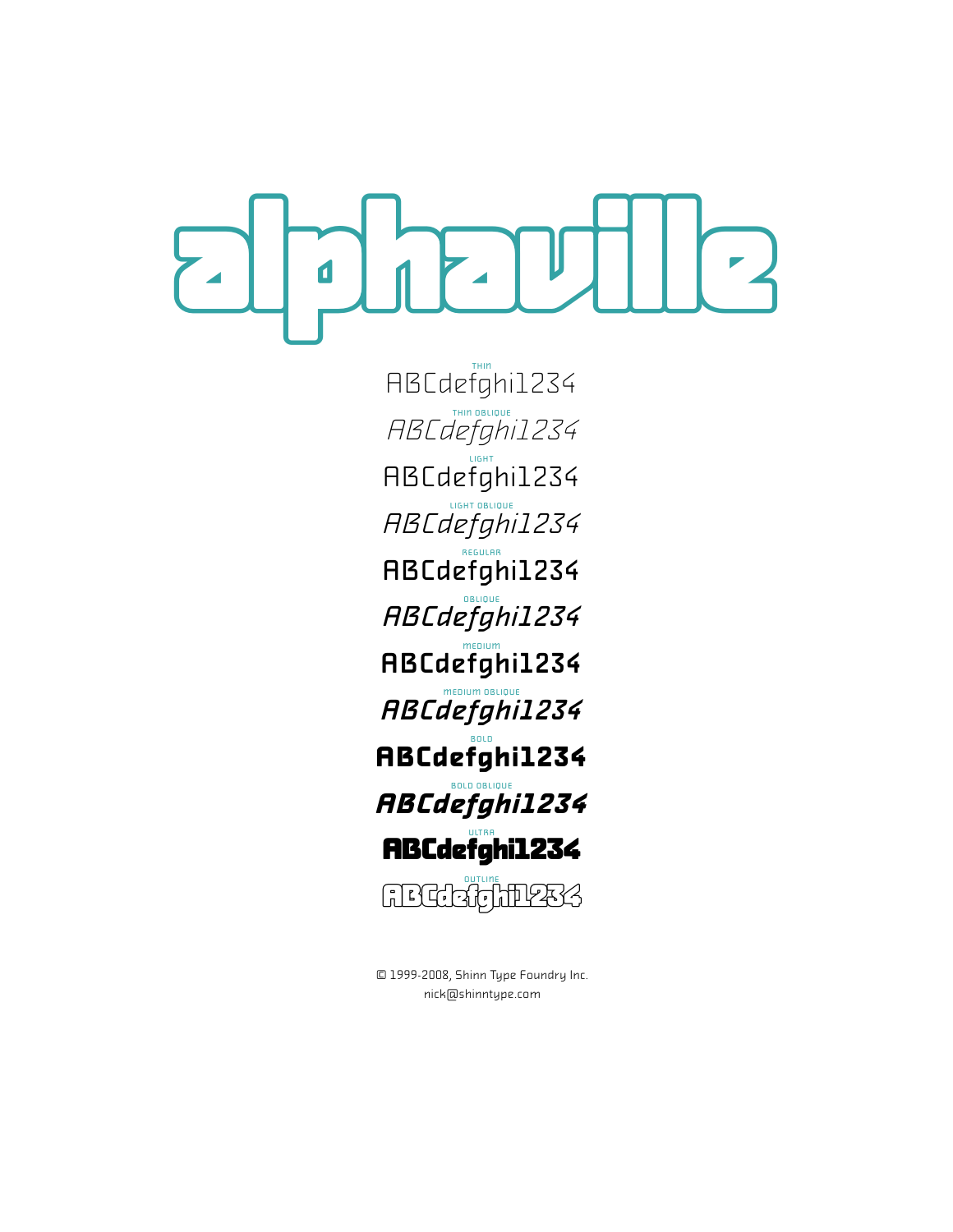alphaville

HBCdefghi1234 RBCdefghi1234 LIGHT ABCdefghi1234 ABCdefghi1234 RBCdefghi1234 ABCdefghi1234 MEDIUM ABCdefghi1234 MEDIUM OBLIQUE ABCdefghi1234 BOLD **ABCdefghi1234** BOLD OBLIQUE **ABCdefghi1234 ABCdefghi1234** GEGGG<sub>unne</sub>

© 1999-2008, Shinn Type Foundry Inc. nick@shinntype.com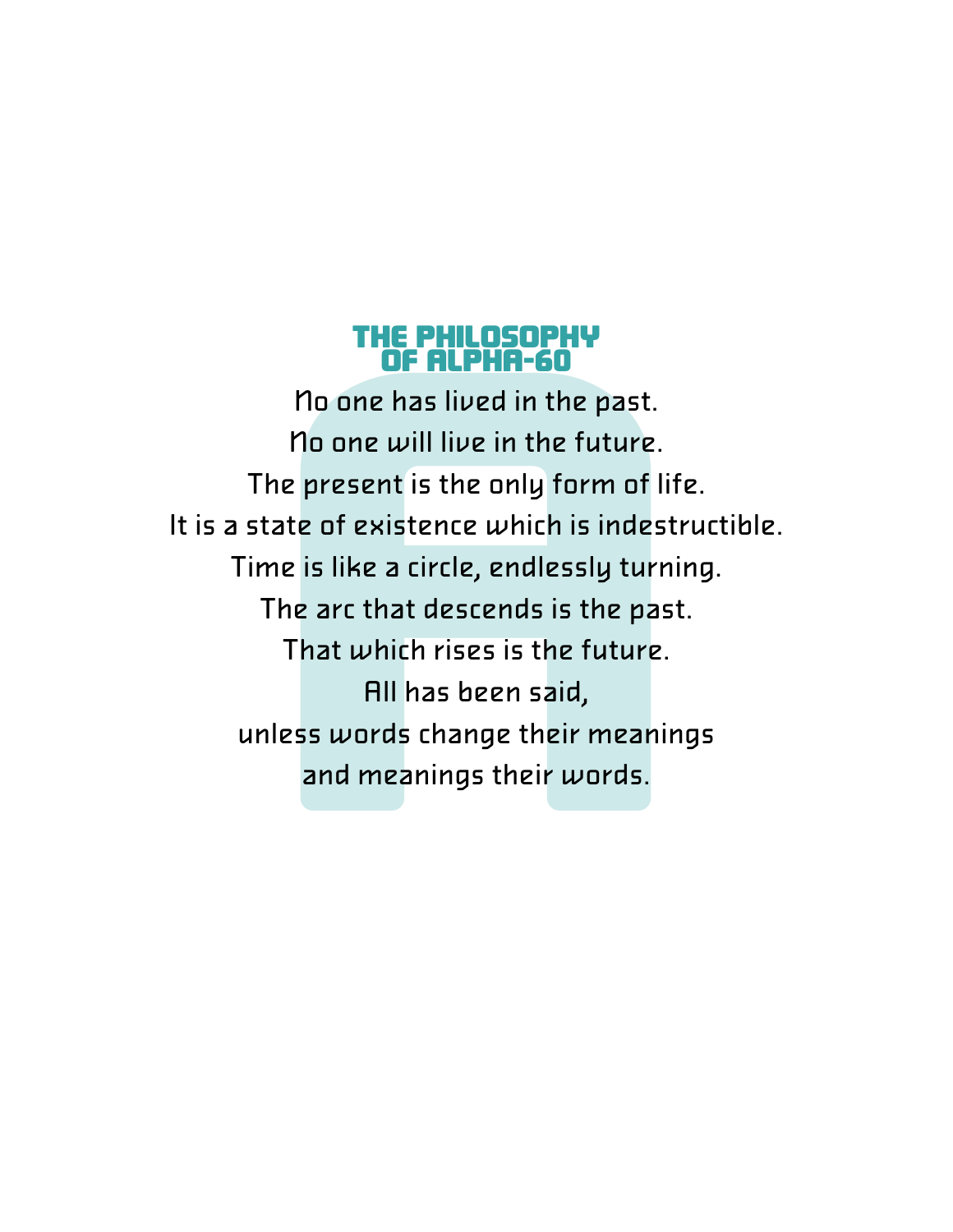## THE PHILOSOPHY OF ALPHA-60

**OF ALPHA-60**<br>The present is the past.<br>The present is the only form of life.<br>State of existence which is indestruent is like a circle, endlessly turning<br>The arc that descends is the past.<br>That which rises is the future.<br>Al No one has lived in the past. No one will live in the future. The present is the only form of life. It is a state of existence which is indestructible. Time is like a circle, endlessly turning. The arc that descends is the past. That which rises is the future. All has been said, unless words change their meanings and meanings their words.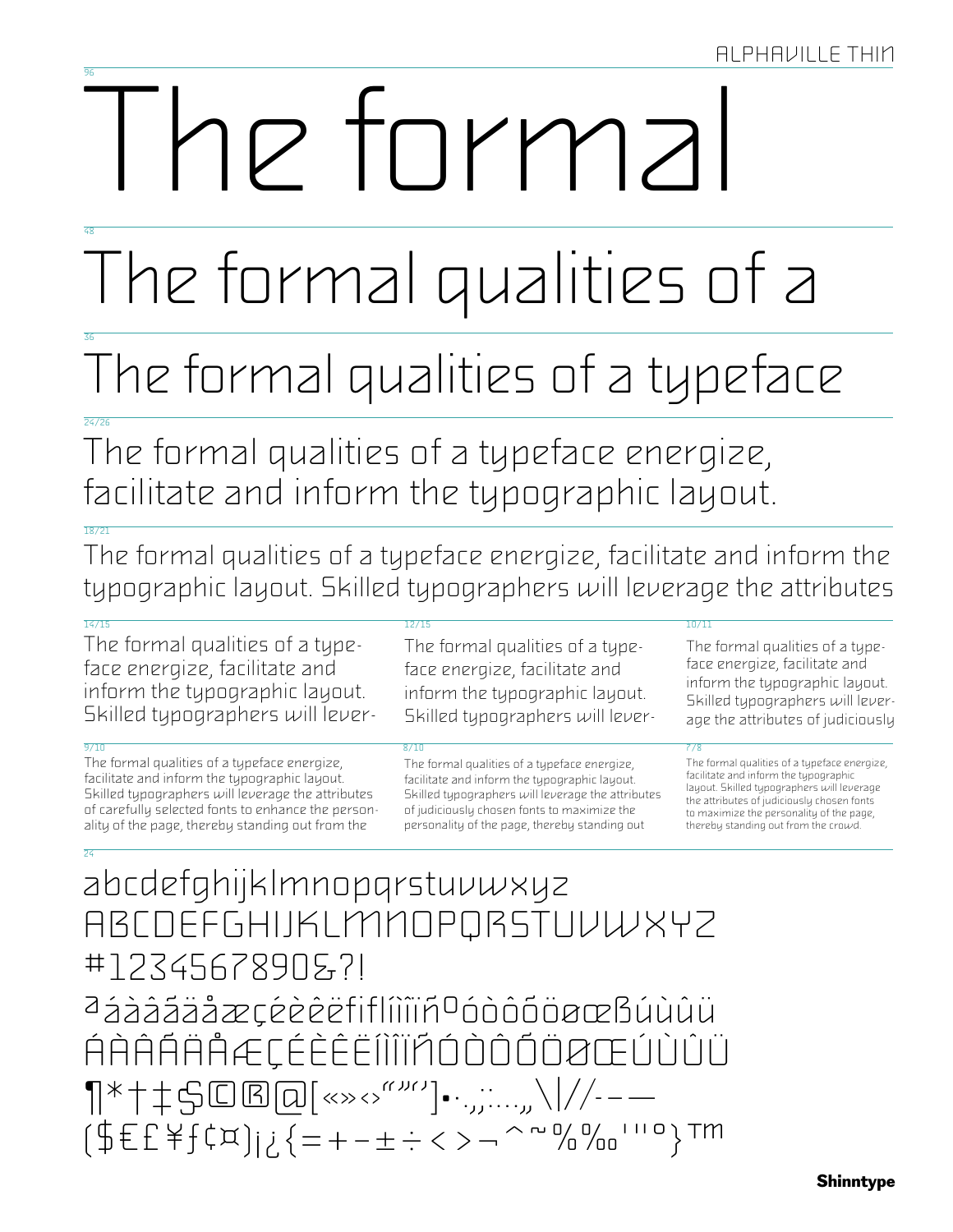# 10 turmal

# The formal qualities of a

# The formal qualities of a typeface

The formal qualities of a typeface energize, facilitate and inform the typographic layout.

The formal qualities of a typeface energize, facilitate and inform the typographic layout. Skilled typographers will leverage the attributes

### $\frac{1}{16}$ /15

The formal qualities of a typeface energize, facilitate and inform the typographic layout. Skilled typographers will lever-

The formal qualities of a typeface energize, facilitate and inform the typographic layout. Skilled typographers will leverage the attributes of carefully selected fonts to enhance the personality of the page, thereby standing out from the

## $12/1$

The formal qualities of a typeface energize, facilitate and inform the typographic layout. Skilled typographers will lever-

The formal qualities of a typeface energize, facilitate and inform the typographic layout. Skilled typographers will leverage the attributes of judiciously chosen fonts to maximize the personality of the page, thereby standing out

### $\frac{10}{11}$

The formal qualities of a typeface energize, facilitate and inform the typographic layout. Skilled typographers will leverage the attributes of judiciously

The formal qualities of a typeface energize, facilitate and inform the typographic layout. Skilled typographers will leverage the attributes of judiciously chosen fonts to maximize the personality of the page, thereby standing out from the crowd.

## abcdefghijklmnopqrstuvwxyz ABCDEFGHIJKLMMOPQRSTUVWXYZ #1234567890&?! aáàááäåæçéèêëfiflíiiiñ<sup>o</sup>óòôõöøœßúùûü ÁÀÂÁÄÀÆÇÉÈÈËÍÌÎÏÃÓÒÒŎÖØŒÚÙÛÜ  $\P^*$ †‡\$©®@[«»<>""')•…,,....,,\|//--—  $(\frac{4}{5}E^{\frac{1}{2}}E^{\frac{1}{2}}E^{\frac{1}{2}}E^{\frac{1}{2}}E^{\frac{1}{2}}E^{\frac{1}{2}}E^{\frac{1}{2}}E^{\frac{1}{2}}E^{\frac{1}{2}}E^{\frac{1}{2}}E^{\frac{1}{2}}E^{\frac{1}{2}}E^{\frac{1}{2}}E^{\frac{1}{2}}E^{\frac{1}{2}}E^{\frac{1}{2}}E^{\frac{1}{2}}E^{\frac{1}{2}}E^{\frac{1}{2}}E^{\frac{1}{2}}E^{\frac{1}{2}}E^{\frac{1}{2}}E^{\frac{1}{2}}E^{\frac{1$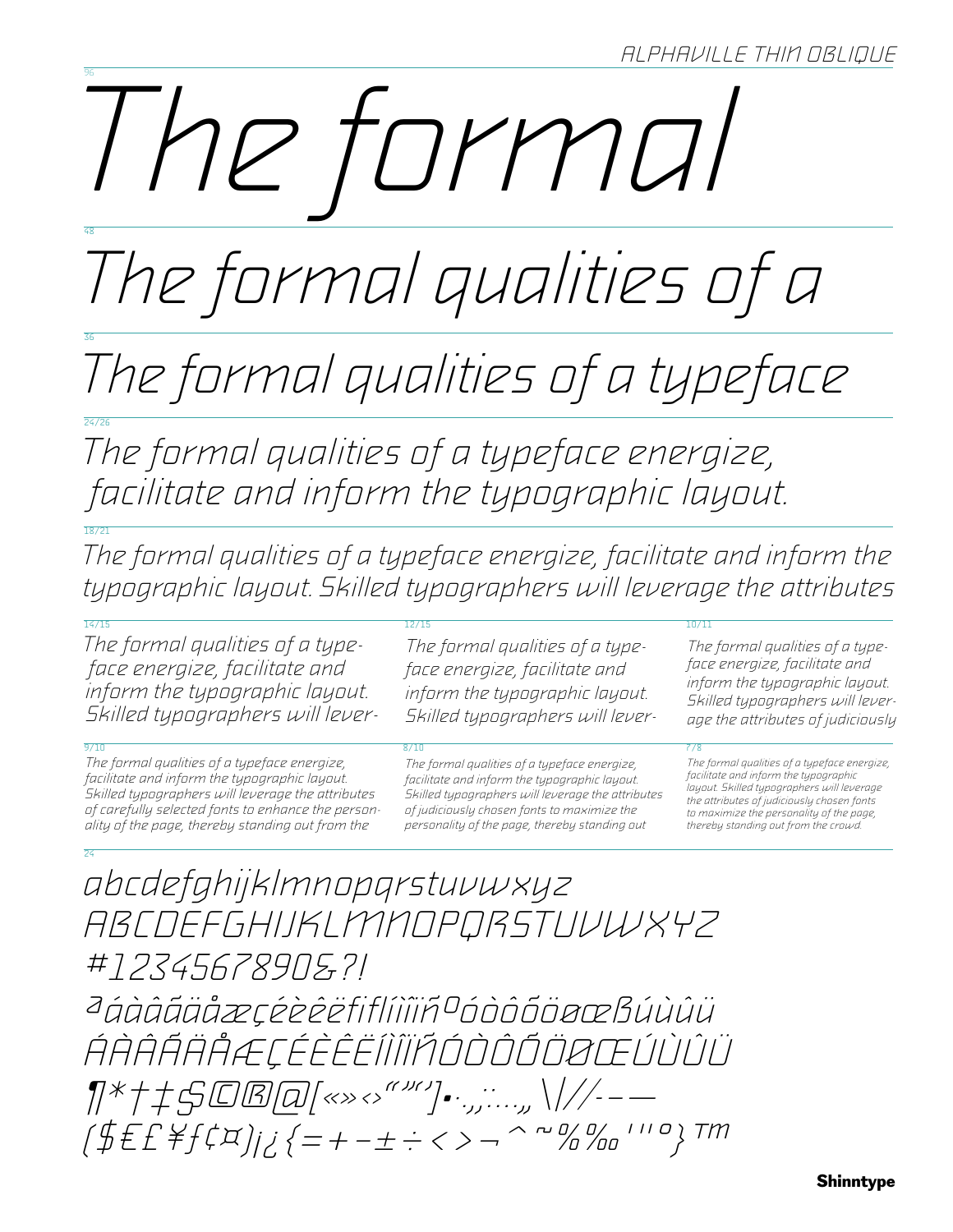# The tormal

# The formal qualities of a

The formal qualities of a typeface

The formal qualities of a typeface energize, facilitate and inform the typographic layout.

The formal qualities of a typeface energize, facilitate and inform the typographic layout. Skilled typographers will leverage the attributes

The formal qualities of a typeface energize, facilitate and inform the typographic layout. Skilled typographers will lever-

The formal qualities of a typeface energize, facilitate and inform the typographic layout. Skilled typographers will leverage the attributes of carefully selected fonts to enhance the personality of the page, thereby standing out from the

Skilled typographers will lever-

The formal qualities of a typeface energize, facilitate and inform the typographic layout. Skilled typographers will leverage the attributes of judiciously chosen fonts to maximize the personality of the page, thereby standing out

The formal qualities of a type-

inform the typographic layout.

face energize, facilitate and

The formal qualities of a typeface energize, facilitate and inform the typographic layout. Skilled typographers will leverage the attributes of judiciously

The formal qualities of a typeface energize, facilitate and inform the typographic layout. Skilled typographers will leverage the attributes of judiciously chosen fonts to maximize the personality of the page, thereby standing out from the crowd.

abcdefghijklmnopqrstuvwxyz ABCDEFGHIJKLMMOPQRSTUVWXYZ #12345678905.71

ÁÀÂÃÄÄÆÇÉÈÊËÎÌĨÏŘÓÒÔŐÖØŒÚÙÛÜ  $\frac{1}{2}$  = 1///- [[  $\frac{1}{2}$   $\frac{1}{2}$   $\frac{1}{2}$   $\frac{1}{2}$   $\frac{1}{2}$   $\frac{1}{2}$   $\frac{1}{2}$   $\frac{1}{2}$   $\frac{1}{2}$   $\frac{1}{2}$   $\frac{1}{2}$   $\frac{1}{2}$   $\frac{1}{2}$   $\frac{1}{2}$   $\frac{1}{2}$   $\frac{1}{2}$   $\frac{1}{2}$   $\frac{1}{2}$   $\frac{1}{2}$   $\frac{1}{2}$   $(\frac{\#EF}{\#f}(\frac{2\#f}{\#f})_{j\neq 1})_{j\neq 1}$   $\{=\textit{+}-\textit{+}<\textit{+}-\textit{+}\}$   $\sim$   $\sim$   $\%$   $\%$   $\sim$   $\cdot$   $\sim$   $\cdot$   $\sim$   $\cdot$   $\sim$   $\cdot$   $\sim$   $\cdot$   $\sim$   $\cdot$   $\sim$   $\cdot$   $\sim$   $\cdot$   $\sim$   $\cdot$   $\sim$   $\cdot$   $\sim$   $\cdot$   $\sim$   $\cdot$   $\sim$   $\cdot$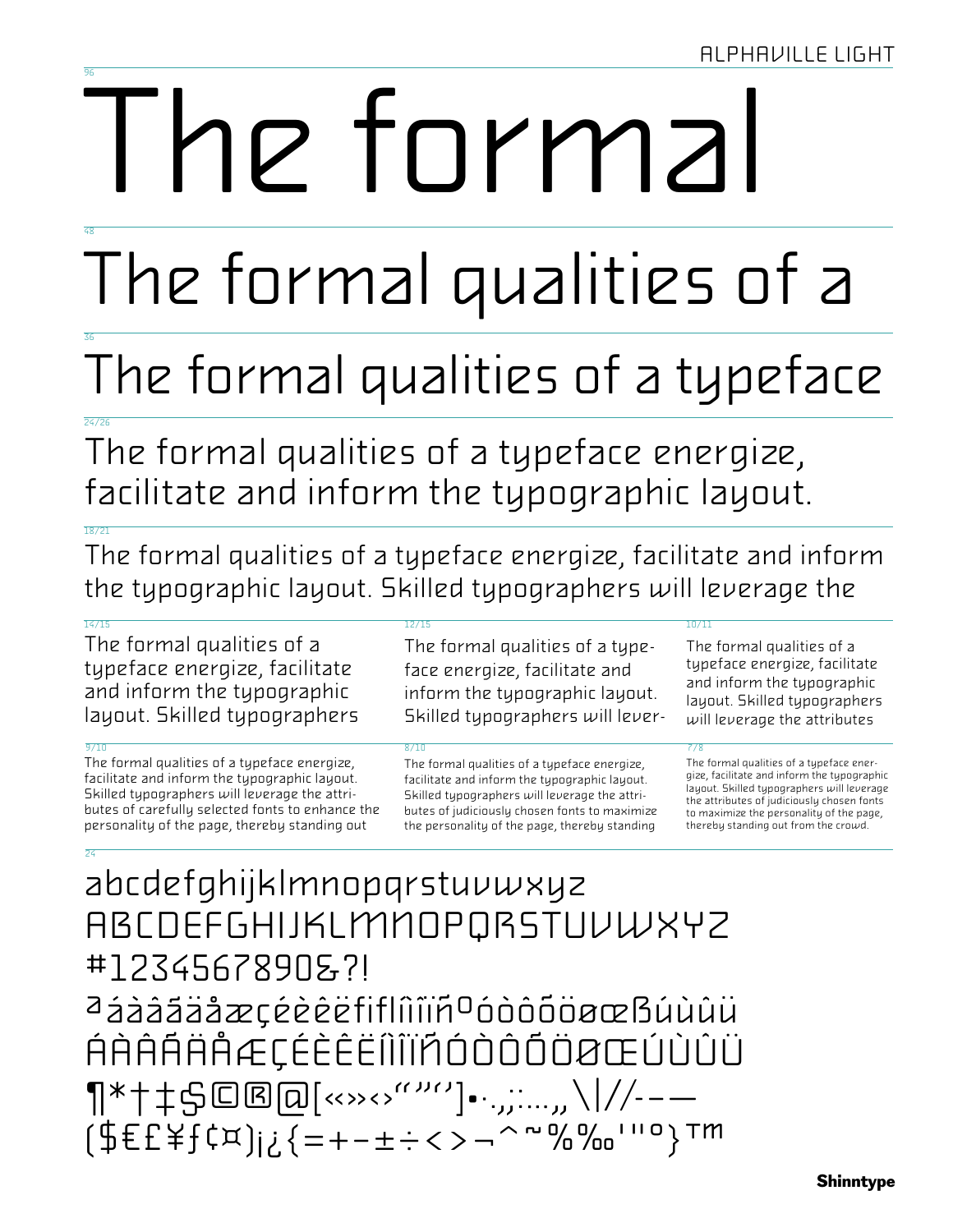# he tormal

# The formal qualities of a

# The formal qualities of a typeface

The formal qualities of a typeface energize, facilitate and inform the typographic layout.

The formal qualities of a typeface energize, facilitate and inform the typographic layout. Skilled typographers will leverage the

### $\frac{1}{14}/\frac{1}{5}$

The formal qualities of a typeface energize, facilitate and inform the typographic layout. Skilled typographers

The formal qualities of a typeface energize, facilitate and inform the typographic layout. Skilled typographers will leverage the attributes of carefully selected fonts to enhance the personality of the page, thereby standing out

The formal qualities of a typeface energize, facilitate and inform the typographic layout. Skilled typographers will lever-

The formal qualities of a typeface energize, facilitate and inform the typographic layout. Skilled typographers will leverage the attributes of judiciously chosen fonts to maximize the personality of the page, thereby standing

The formal qualities of a typeface energize, facilitate and inform the typographic layout. Skilled typographers will leverage the attributes

The formal qualities of a typeface energize, facilitate and inform the typographic layout. Skilled typographers will leverage the attributes of judiciously chosen fonts to maximize the personality of the page, thereby standing out from the crowd.

## abcdefghijklmnopgrstuvwxyz **ABCDEFGHIJKLMMOPQRSTUVWXYZ** #1234567890&?! aáááááæçéèèèFiflíiiiñ<sup>o</sup>óòôõöøœßúùûü ÁÀÂÁÄÅÆÇÉÈÈËÎÎÎÏÃÓÒÔŐÖØŒÚÙÛÜ ¶\*†‡\$©®@[<<>><><sup>^^</sup>"^'']•<sub>``</sub>,;...,,\\//--— [\$ E E \ \ f \ \ j i \ { = + - ± ÷ < > - ^ ~ % % ''' 0 } Tm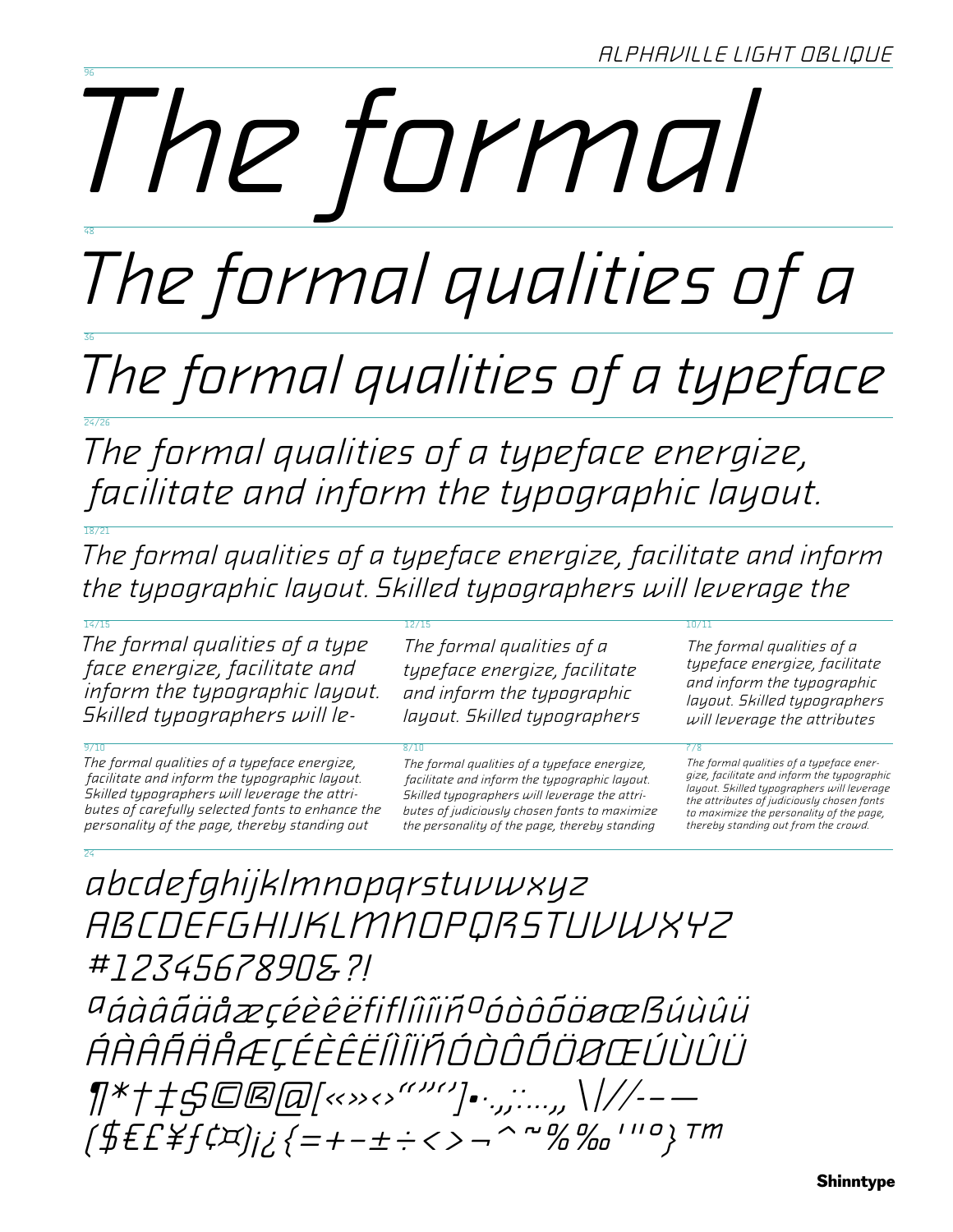# The tormal

The formal qualities of a

The formal qualities of a typeface

The formal qualities of a typeface energize, facilitate and inform the typographic layout.

The formal qualities of a typeface energize, facilitate and inform the typographic layout. Skilled typographers will leverage the

The formal qualities of a

typeface energize, facilitate

and inform the typographic

layout. Skilled typographers

The formal qualities of a type face energize, facilitate and inform the typographic layout. Skilled typographers will le-

The formal qualities of a typeface energize, facilitate and inform the typographic layout. Skilled typographers will leverage the attributes of carefully selected fonts to enhance the personality of the page, thereby standing out

The formal qualities of a typeface energize, facilitate and inform the typographic layout. Skilled typographers will leverage the attributes of judiciously chosen fonts to maximize the personality of the page, thereby standing

The formal qualities of a typeface energize, facilitate and inform the typographic layout. Skilled typographers will leverage the attributes

The formal qualities of a typeface energize, facilitate and inform the typographic layout. Skilled typographers will leverage the attributes of judiciously chosen fonts to maximize the personality of the page, thereby standing out from the crowd.

abcdefghijklmnopgrstuvwxyz ABCDEFGHIJKLMMOPQRSTUVWXYZ #1234567890&?!

aáàáãäåæçéèèëfiflíîiïñoóòôōooœBúùûü ŔŔŔŔŔŔŔŒĊĔĔĔĔſĨĨĬŔŎĎŎŎŎŎŒŨÙŨŨ [\$E£\{f(`¤)j;{=+-±÷<>¬^"%%""""}™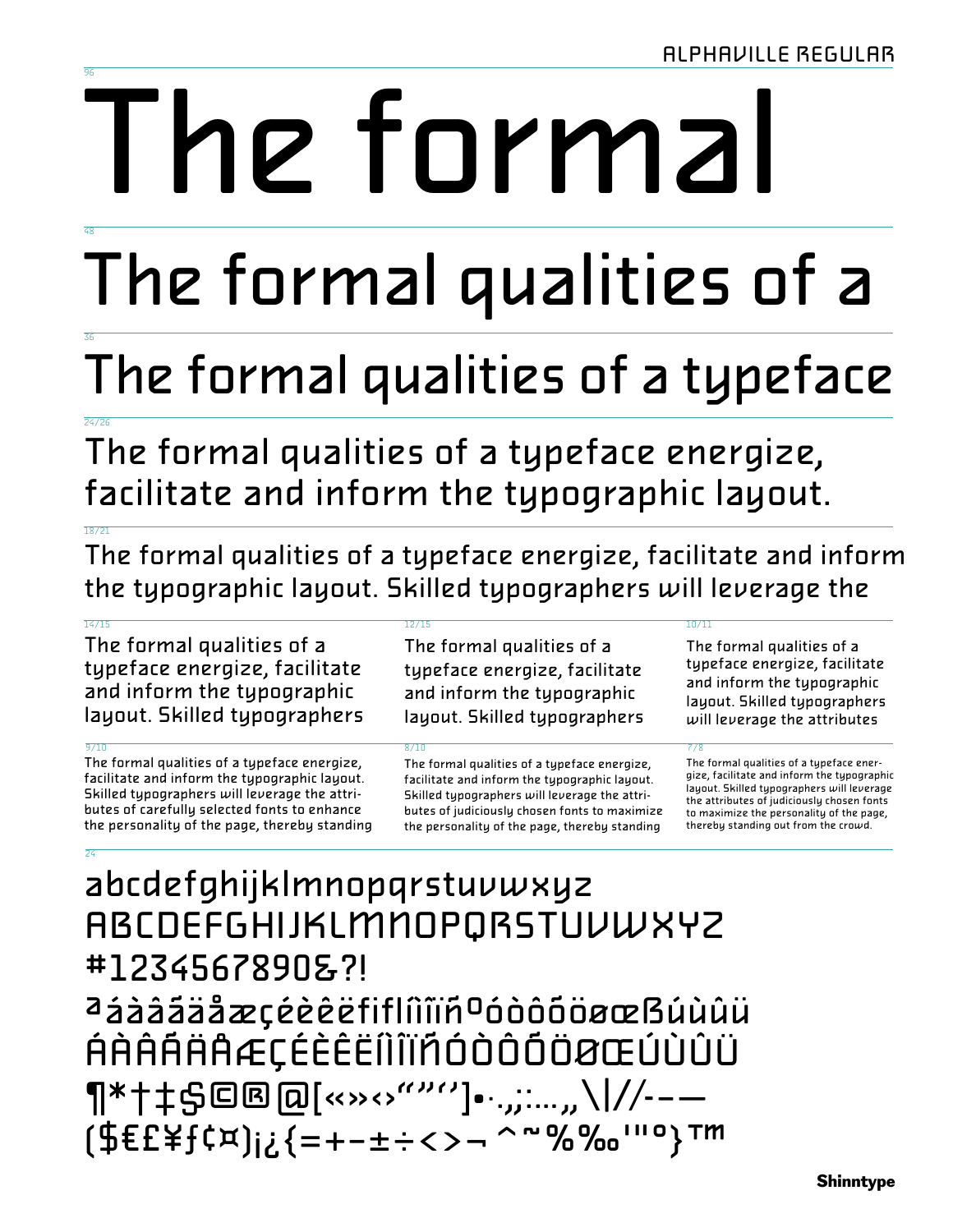# Ie formal

# The formal qualities of a

# The formal qualities of a typeface

The formal qualities of a typeface energize, facilitate and inform the typographic layout.

The formal qualities of a typeface energize, facilitate and inform the typographic layout. Skilled typographers will leverage the

### $\frac{1}{14}/\frac{1}{5}$

The formal qualities of a typeface energize, facilitate and inform the typographic layout. Skilled typographers

The formal qualities of a typeface energize, facilitate and inform the typographic layout. Skilled typographers will leverage the attributes of carefully selected fonts to enhance the personality of the page, thereby standing

The formal qualities of a typeface energize, facilitate and inform the typographic layout. Skilled typographers

The formal qualities of a typeface energize, facilitate and inform the typographic layout. Skilled typographers will leverage the attributes of judiciously chosen fonts to maximize the personality of the page, thereby standing

The formal qualities of a typeface energize, facilitate and inform the typographic layout. Skilled typographers will leverage the attributes

## abcdefghijklmnopqrstuvwxyz **ABCDEFGHIJKLMNOPQRSTUVWXYZ** #1234567890&?! aááááäåæçéèèèfiflíìîïñºóòôõöøœßúùûü ÁÀÂÁÄAÆÇÉÈÊËÍÌĨÏÑÓÒÔŎÖØŒÚÙÛÜ ¶\*†‡\$©®@[«»›‹›""'']•·.,;:…,,\\//--— [\$EE\f(¤);¿{=+-±÷<>¬^"%‰'"0}™

The formal qualities of a typeface energize, facilitate and inform the typographic layout. Skilled typographers will leverage the attributes of judiciously chosen fonts to maximize the personality of the page, thereby standing out from the crowd.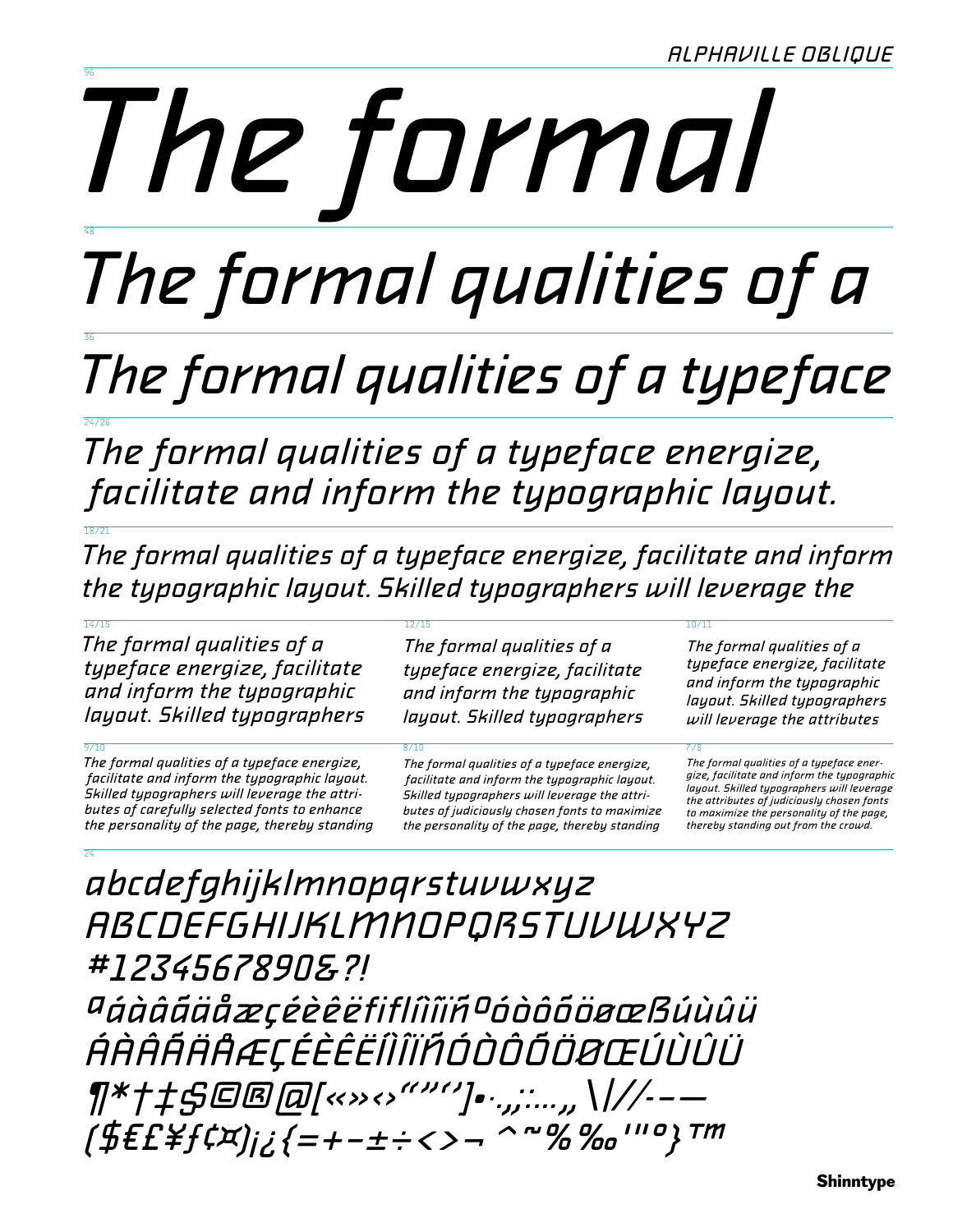# The formal

# The formal qualities of a

## The formal qualities of a typeface

The formal qualities of a typeface energize, facilitate and inform the typographic layout.

The formal qualities of a typeface energize, facilitate and inform the typographic layout. Skilled typographers will leverage the

The formal qualities of a

typeface energize, facilitate

and inform the typographic

layout. Skilled typographers

The formal qualities of a typeface energize, facilitate and inform the typographic layout. Skilled typographers

The formal qualities of a typeface energize, facilitate and inform the typographic layout. Skilled typographers will leverage the attributes of carefully selected fonts to enhance the personality of the page, thereby standing

The formal qualities of a typeface energize, facilitate and inform the typographic layout. Skilled typographers will leverage the attributes of judiciously chosen fonts to maximize the personality of the page, thereby standing

The formal qualities of a typeface energize, facilitate and inform the typographic layout. Skilled typographers will leverage the attributes

The formal qualities of a typeface energize, facilitate and inform the typographic layout. Skilled typographers will leverage the attributes of judiciously chosen fonts to maximize the personality of the page, thereby standing out from the crowd.

## abcdefghijklmnopqrstuvwxyz *ABCDEFGHIJKLMMOPQRSTUVWXYZ* #1234567890&?! aáàááäåæçéèêëfiflîîïñ¤óòôôöøœßúùûü ŔŔŔŔŔŔÆÇÉÈÊËÎÌĨÏŔÓÒŎŎŎŒÚÙÛÜ  $\P^*$ †‡ $\mathfrak{S}$ ©®@[<<>><>'''''']•…,;:…,,\\//-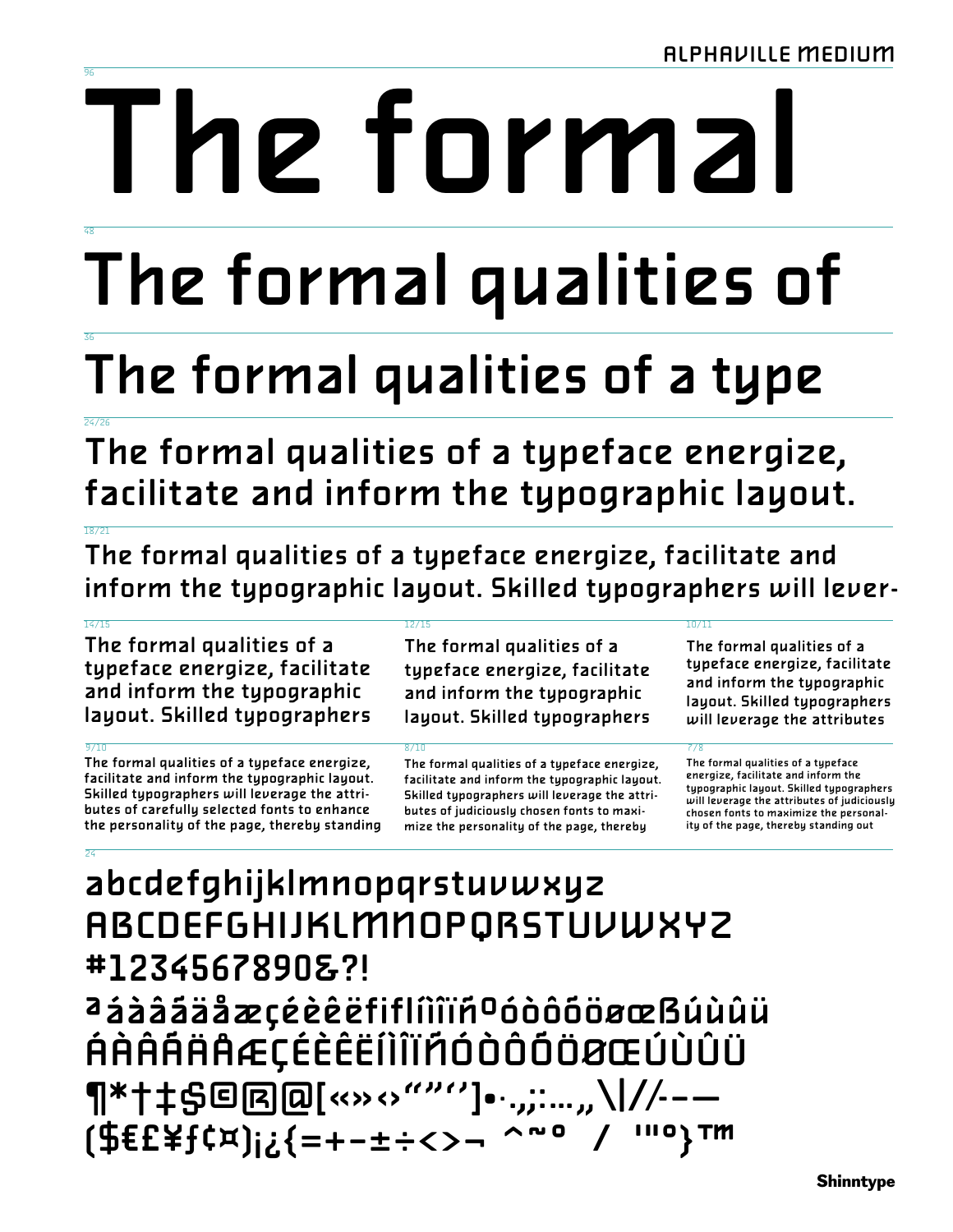# Ie formal

# The formal qualities of

# The formal qualities of a type

The formal qualities of a typeface energize, facilitate and inform the typographic layout.

The formal qualities of a typeface energize, facilitate and inform the typographic layout. Skilled typographers will lever-

### $\frac{1}{16}$ /15

The formal qualities of a typeface energize, facilitate and inform the typographic layout. Skilled typographers

The formal qualities of a typeface energize, facilitate and inform the typographic layout. Skilled typographers will leverage the attributes of carefully selected fonts to enhance the personality of the page, thereby standing

## $12/11$

The formal qualities of a typeface energize, facilitate and inform the typographic layout. Skilled typographers

The formal qualities of a typeface energize, facilitate and inform the typographic layout. Skilled typographers will leverage the attributes of judiciously chosen fonts to maximize the personality of the page, thereby

The formal qualities of a typeface energize, facilitate and inform the typographic layout. Skilled typographers will leverage the attributes

## abcdefghijklmnopqrstuvwxyz **ABCDEFGHIJKLMMOPQRSTUVWXYZ** #1234567890&?! aááááäåæçéèèèfiflíìîïñºóòôõöøœBúùûü ÁÀÂÁÄAÆÇÉÈÊËÍÌÎÏÁÓÒÔŐÖØŒÚÙÛÜ ¶\*†‡\$@@@[<>><>'''''']•·.,;:...,,\|//--(\$EE\f(¤);;{=+-±÷<>- $\sim$   $\sim$  0 **ΠΙΟΥΤΜ**

The formal qualities of a typeface energize, facilitate and inform the typographic layout. Skilled typographers will leverage the attributes of judiciously chosen fonts to maximize the personality of the page, thereby standing out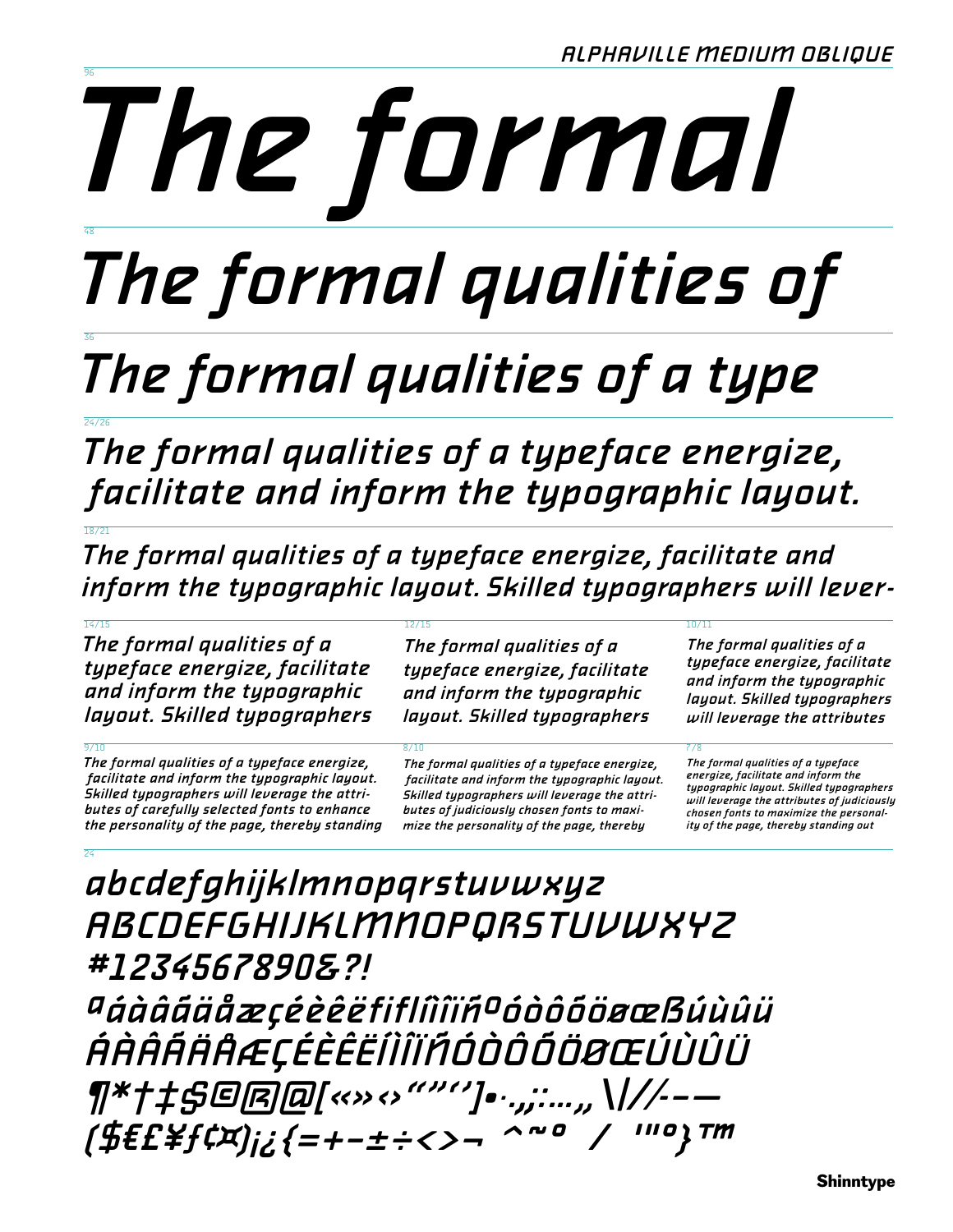# The formal

# The formal qualities of

# The formal qualities of a type

The formal qualities of a typeface energize, facilitate and inform the typographic layout.

The formal qualities of a typeface energize, facilitate and inform the typographic layout. Skilled typographers will lever-

The formal qualities of a typeface energize, facilitate and inform the typographic layout. Skilled typographers

The formal qualities of a typeface energize,

facilitate and inform the typographic layout.

Skilled typographers will leverage the attri-

butes of carefully selected fonts to enhance

the personality of the page, thereby standing

The formal qualities of a typeface energize, facilitate and inform the typographic layout. Skilled typographers

The formal qualities of a typeface energize,

facilitate and inform the typographic layout.

Skilled typographers will leverage the attri-

butes of judiciously chosen fonts to maxi-

mize the personality of the page, thereby

The formal qualities of a typeface energize, facilitate and inform the typographic layout. Skilled typographers will leverage the attributes

The formal qualities of a typeface energize, facilitate and inform the typographic layout. Skilled typographers will leverage the attributes of judiciously chosen fonts to maximize the personal ity of the page, thereby standing out

## abcdefghijklmnopqrstuvwxyz **ABCDEFGHIJKLMMOPQRSTUVWXYZ** #1234567890&?!

aáàááäåæçéèèëfiflîîîïñoóòôõöøœßúùûü ŔŔŔŔŔŔÆÇÉÈĔĔĨĬĨĭŔÓÒŎŎŎŒŮÙÛÜ ¶\*†‡\$@@@[<<>><>'''''']•<sub>`</sub>.,;:...,,\|//-(\$E£\\t\;{=+-±÷<>- $\wedge \sim 0$ O ι TM

**Shinntype**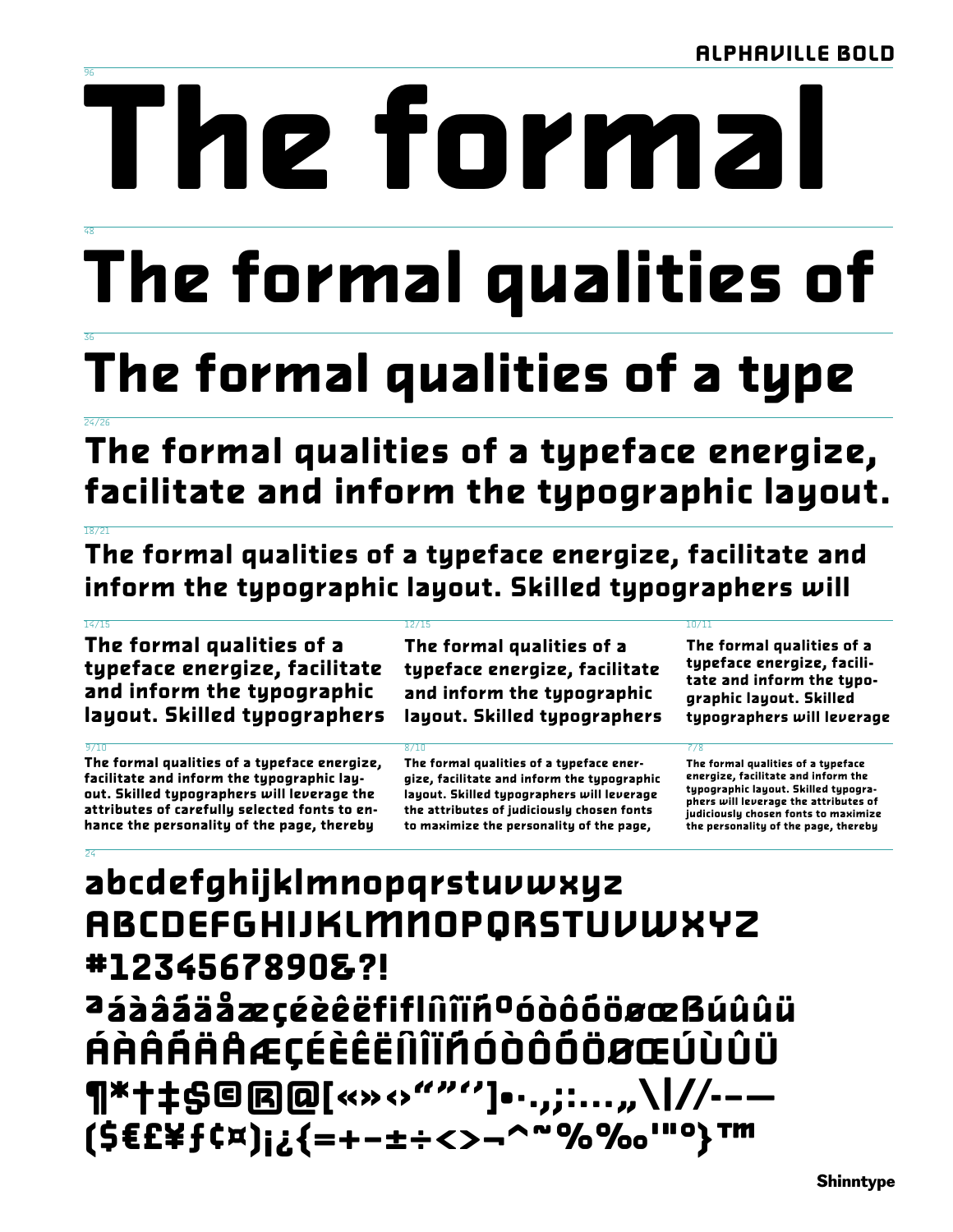# IC tormal

# The formal qualities of

## The formal qualities of a type

The formal qualities of a typeface energize, facilitate and inform the typographic layout.

The formal qualities of a typeface energize, facilitate and inform the typographic layout. Skilled typographers will

### $\frac{1}{16}$ /15

The formal qualities of a typeface energize, facilitate and inform the typographic layout. Skilled typographers

The formal qualities of a typeface energize, facilitate and inform the typographic layout. Skilled typographers will leverage the attributes of carefully selected fonts to enhance the personality of the page, thereby

The formal qualities of a typeface energize, facilitate and inform the typographic layout. Skilled typographers

The formal qualities of a typeface energize, facilitate and inform the typographic layout. Skilled typographers will leverage the attributes of judiciously chosen fonts to maximize the personality of the page,

The formal qualities of a typeface energize, facilitate and inform the typographic layout. Skilled typographers will leverage

## abcdefghijklmnopqrstuvwxyz **ABCDEFGHIJKLMNOPORSTUVWXYZ** #1234567890&?! aááááäåæçéèêëfiflnîïñºóòôôöøœBúûûü ÁÀÂÁÄÅÆÇÉÈÊËÎÌĨĬÑÓÒÔŐÖØŒÚÙÛÜ ¶\*†‡\$©®@[«»‹›""'']•·.,;:...*,*,\|//--— (\$€£¥f¢¤)¡¿{=+-±÷<>¬^~%‰""°}™

The formal qualities of a typeface energize, facilitate and inform the typographic layout. Skilled typographers will leverage the attributes of judiciously chosen fonts to maximize the personality of the page, thereby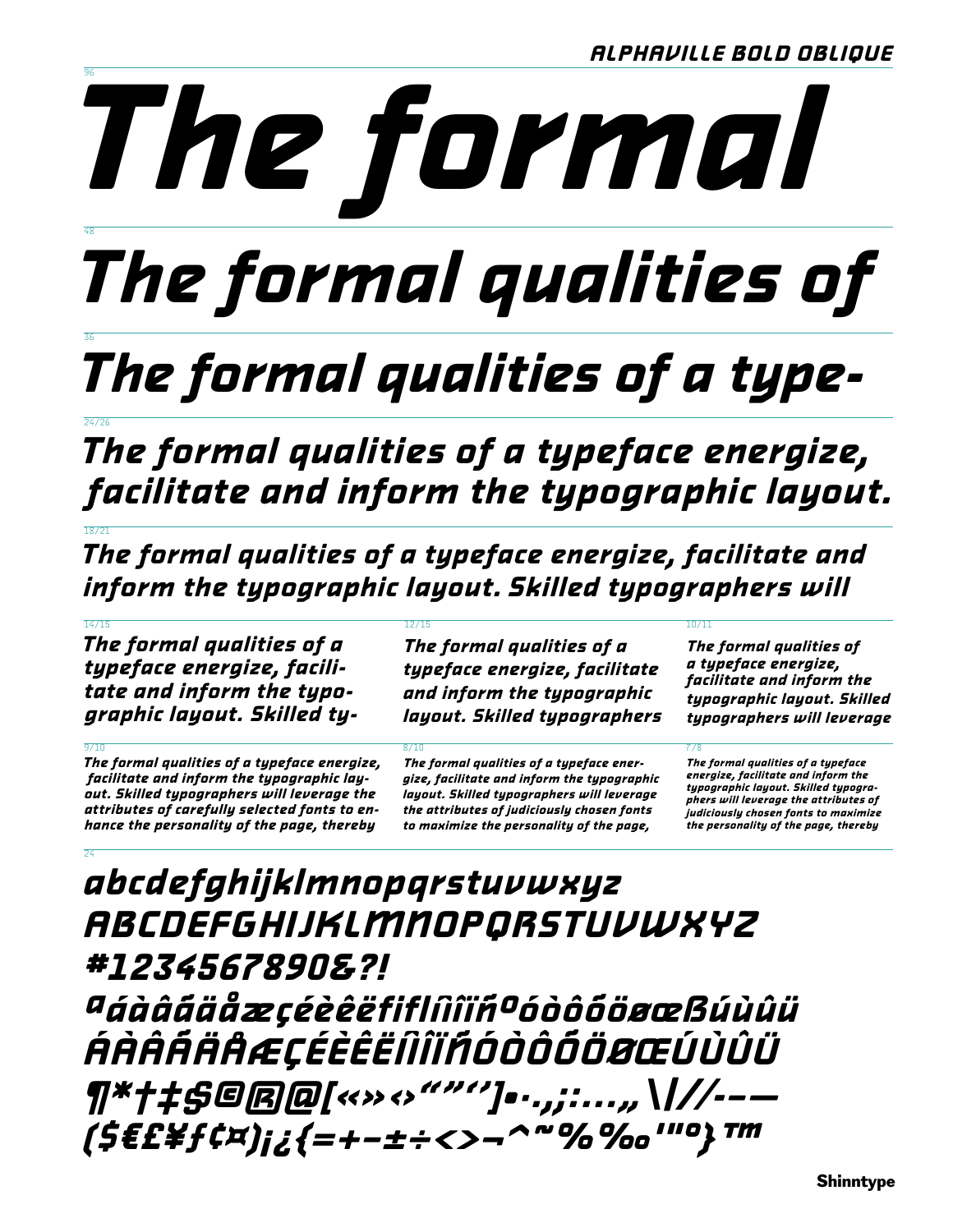

# The formal qualities of

## The formal qualities of a type-

The formal qualities of a typeface energize, facilitate and inform the typographic layout.

The formal qualities of a typeface energize, facilitate and inform the typographic layout. Skilled typographers will

The formal qualities of a typeface energize, facilitate and inform the typographic layout. Skilled ty-

The formal qualities of a typeface energize, facilitate and inform the typographic layout. Skilled typographers will leverage the attributes of carefully selected fonts to enhance the personality of the page, thereby

The formal qualities of a typeface energize, facilitate and inform the typographic layout. Skilled typographers

The formal qualities of a typeface energize, facilitate and inform the typographic layout. Skilled typographers will leverage the attributes of judiciously chosen fonts to maximize the personality of the page,

The formal qualities of a typeface energize, facilitate and inform the typographic layout. Skilled typographers will leverage

The formal qualities of a typeface energize, facilitate and inform the typographic layout. Skilled typographers will leverage the attributes of judiciously chosen fonts to maximize the personality of the page, thereby

## abcdefghijklmnopqrstuvwxyz ABCDEFGHIJKLMNOPQRSTUVWXYZ #1234567890&?! aáàááäåæçéèèëfiflîîïñºóòôôöøœßúùûü ŔŔŔŔŔŔÆÇÉÈÊËÎÎÎĬŔÓÒŎŎŎŒÚÙÛÜ ¶\*†‡\$©®@[«»>‹›""'']•·.,;:...,,\|//-(\$E£\f¢¤)¡¿{=+-±÷<>¬^~%‰"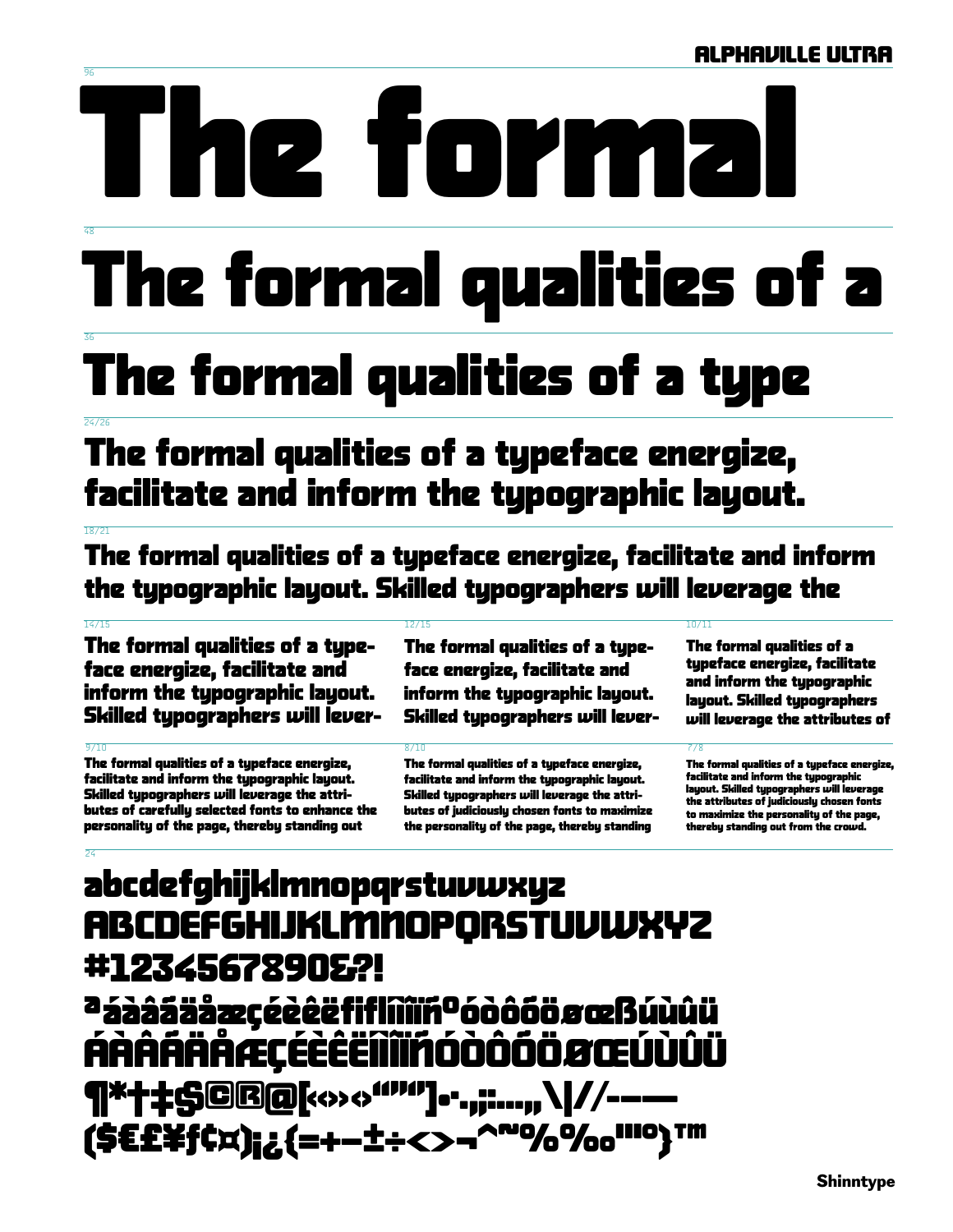# 2 TOP

# The formal qualities of a

## The formal qualities of a type

## The formal qualities of a typeface energize, facilitate and inform the typographic layout.

The formal qualities of a typeface energize, facilitate and inform the typographic layout. Skilled typographers will leverage the

### $\frac{1}{14}/\frac{1}{5}$

The formal qualities of a typeface energize, facilitate and inform the typographic layout. Skilled typographers will lever-

The formal qualities of a typeface energize, facilitate and inform the typographic layout. Skilled typographers will leverage the attributes of carefully selected fonts to enhance the personality of the page, thereby standing out

The formal qualities of a typeface energize, facilitate and inform the typographic layout. Skilled typographers will lever-

The formal qualities of a tupeface energize. facilitate and inform the typographic layout. Skilled typographers will leverage the attributes of judiciously chosen fonts to maximize the personality of the page, thereby standing

### $\frac{1}{10}$

The formal qualities of a typeface energize, facilitate and inform the typographic layout. Skilled typographers will leverage the attributes of

The formal qualities of a typeface energize, facilitate and inform the typographic layout. Skilled typographers will leverage the attributes of judiciously chosen fonts to maximize the personality of the page, thereby standing out from the crowd.

## abcdefghijklmnopqrstuvwxyz **ABCDEFGHIJKLMMOPORSTUVWXYZ** #1234567890&?! a á a a fala a szocé de fifliñi rodo o boro a caldio di Ϝùûü ÁÀÄÃÄÄÆÇÉÉËIII  $\Box$  $\Box$  $\Box$  $\Box$ **|:\$@@@[<>><>"""]...,;:...,,\|//-----**(\$E£\f¢x);¿{=+-±÷<>-^"%%o"")™